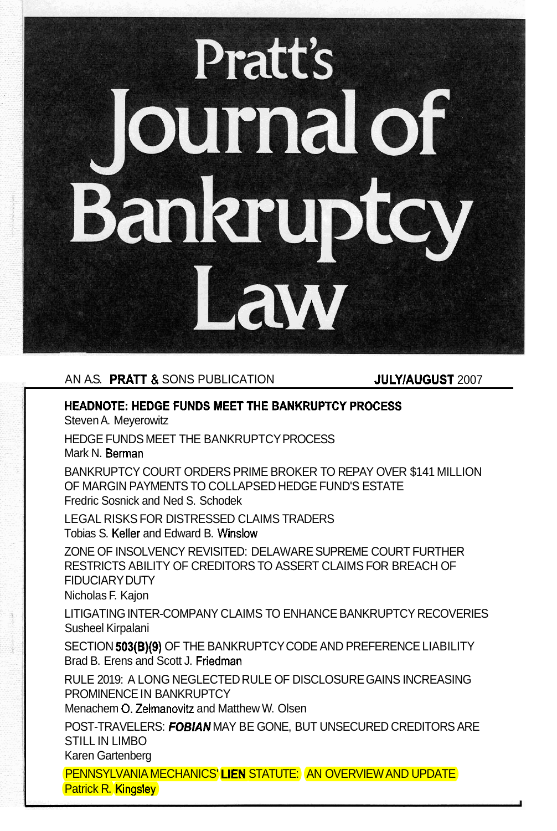# **Pratt's** ournal of Bankrupte W6L

## AN A.S. PRATT & SONS PUBLICATION **JULY/AUGUST** 2007

## **HEADNOTE: HEDGE FUNDS MEET THE BANKRUPTCY PROCESS**

Steven A. Meyerowitz

HEDGE FUNDS MEET THE BANKRUPTCY PROCESS

Mark N. **Berman** 

BANKRUPTCY COURT ORDERS PRIME BROKER TO REPAY OVER \$141 MILLION OF MARGIN PAYMENTS TO COLLAPSED HEDGE FUND'S ESTATE Fredric Sosnick and Ned S. Schodek

Tobias S. Keller and Edward B. Winslow LEGAL RISKS FOR DISTRESSED CLAIMS TRADERS

ZONE OF INSOLVENCY REVISITED: DELAWARE SUPREME COURT FURTHER RESTRICTS ABILITY OF CREDITORS TO ASSERT CLAIMS FOR BREACH OF FIDUCIARY DUTY

Nicholas F. Kajon

LITIGATING INTER-COMPANY CLAIMS TO ENHANCE BANKRUPTCY RECOVERIES Susheel Kirpalani

SECTION **503(B)(9)** OF THE BANKRUPTCY CODE AND PREFERENCE LIABILITY Brad B. Erens and Scott J. Friedman

RULE 2019: A LONG NEGLECTED RULE OF DISCLOSURE GAINS INCREASING PROMINENCE IN BANKRUPTCY

Menachem O. Zelmanovitz and Matthew W. Olsen

POST-TRAVELERS: *FOBIAN* MAY BE GONE, BUT UNSECURED CREDITORS ARE STILL IN LIMBO Karen Gartenberg

<u>PENNSYLVANIA MECHANICS' LIEN STATUTE: (AN OVERVIEW AND UPDATE)</u> Patrick R. Kingsley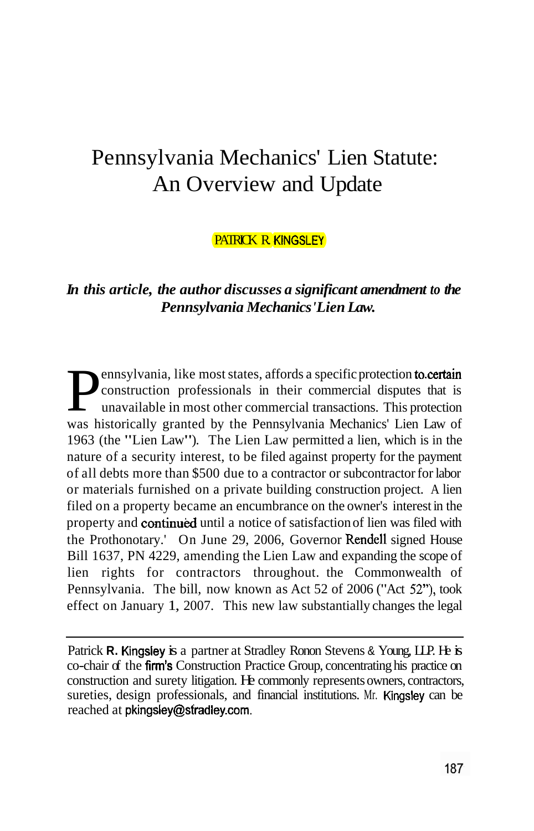# Pennsylvania Mechanics' Lien Statute: An Overview and Update

#### PATRICK R KINGSLEY

## *In this article, the author discusses a significant amendment to the Pennsylvania Mechanics 'Lien Law.*

ennsylvania, like most states, affords a specific protection to certain property and continued until a notice of satisfaction of lien was filed with the Prothonotary.' On June 29, 2006, Governor Rendell signed House Pennsylvania. The bill, now known as Act 52 of 2006 ("Act 52"), took **Pennsylvania, like most states, affords a specific protection**<br>construction professionals in their commercial dispute<br>unavailable in most other commercial transactions. This p construction professionals in their commercial disputes that is unavailable in most other commercial transactions. This protection was historically granted by the Pennsylvania Mechanics' Lien Law of 1963 (the "Lien Law"). The Lien Law permitted a lien, which is in the nature of a security interest, to be filed against property for the payment of all debts more than \$500 due to a contractor or subcontractor for labor or materials furnished on a private building construction project. A lien filed on a property became an encumbrance on the owner's interest in the Bill 1637, PN 4229, amending the Lien Law and expanding the scope of lien rights for contractors throughout. the Commonwealth of effect on January 1, 2007. This new law substantially changes the legal

Patrick R. Kingsley is a partner at Stradley Ronon Stevens & Young, LLP. He is co-chair of the firm's Construction Practice Group, concentrating his practice on sureties, design professionals, and financial institutions. Mr. Kingsley can be reached at pkingsley@stradley.com. construction and surety litigation. He commonly represents owners, contractors,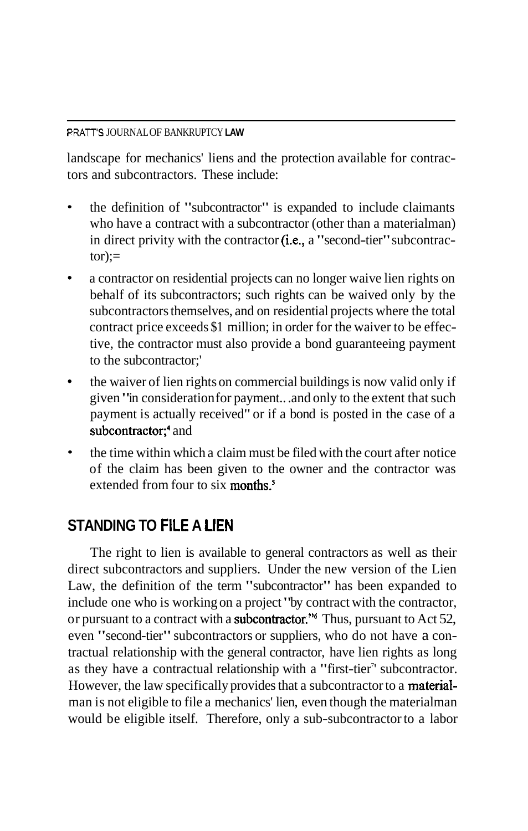#### **PRATT'S**  JOURNALOF BANKRUPTCY **LAW**

landscape for mechanics' liens and the protection available for contractors and subcontractors. These include:

- the definition of "subcontractor" is expanded to include claimants  $\bullet$ who have a contract with a subcontractor (other than a materialman) in direct privity with the contractor (i.e., a "second-tier" subcontrac $tor):=$
- a contractor on residential projects can no longer waive lien rights on behalf of its subcontractors; such rights can be waived only by the subcontractors themselves, and on residential projects where the total contract price exceeds \$1 million; in order for the waiver to be effective, the contractor must also provide a bond guaranteeing payment to the subcontractor;'
- the waiver of lien rights on commercial buildings is now valid only if  $\bullet$ given "in consideration for payment.. .and only to the extent that such payment is actually received" or if a bond is posted in the case of a subcontractor;<sup>4</sup> and
- extended from four to six months.<sup>5</sup> the time within which a claim must be filed with the court after notice of the claim has been given to the owner and the contractor was

# **STANDING TO FILE A LIEN**

or pursuant to a contract with a subcontractor." Thus, pursuant to Act 52, However, the law specifically provides that a subcontractor to a **material**-The right to lien is available to general contractors as well as their direct subcontractors and suppliers. Under the new version of the Lien Law, the definition of the term "subcontractor" has been expanded to include one who is working on a project "by contract with the contractor, even "second-tier" subcontractors or suppliers, who do not have a contractual relationship with the general contractor, have lien rights as long as they have a contractual relationship with a "first-tier" subcontractor. man is not eligible to file a mechanics' lien, even though the materialman would be eligible itself. Therefore, only a sub-subcontractor to a labor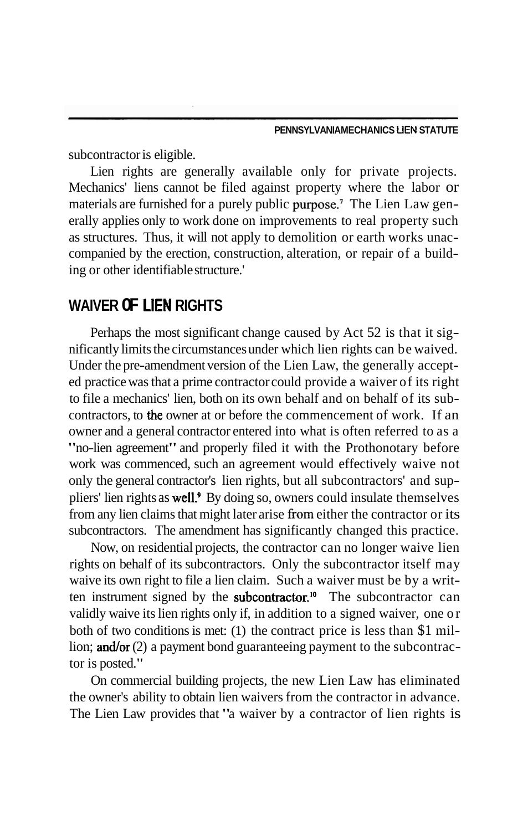subcontractor is eligible.

materials are furnished for a purely public purpose.<sup>7</sup> The Lien Law gen-Lien rights are generally available only for private projects. Mechanics' liens cannot be filed against property where the labor or erally applies only to work done on improvements to real property such as structures. Thus, it will not apply to demolition or earth works unaccompanied by the erection, construction, alteration, or repair of a building or other identifiable structure.'

# **LlEN WAIVER OF RIGHTS**

contractors, to the owner at or before the commencement of work. If an pliers' lien rights as well.<sup>9</sup> By doing so, owners could insulate themselves from any lien claims that might later arise from either the contractor or its Perhaps the most significant change caused by Act 52 is that it significantly limits the circumstances under which lien rights can be waived. Under the pre-amendment version of the Lien Law, the generally accepted practice was that a prime contractor could provide a waiver of its right to file a mechanics' lien, both on its own behalf and on behalf of its subowner and a general contractor entered into what is often referred to as a "no-lien agreement" and properly filed it with the Prothonotary before work was commenced, such an agreement would effectively waive not only the general contractor's lien rights, but all subcontractors' and supsubcontractors. The amendment has significantly changed this practice.

ten instrument signed by the **subcontractor.**<sup>10</sup> The subcontractor can lion; and/or (2) a payment bond guaranteeing payment to the subcontrac-Now, on residential projects, the contractor can no longer waive lien rights on behalf of its subcontractors. Only the subcontractor itself may waive its own right to file a lien claim. Such a waiver must be by a writvalidly waive its lien rights only if, in addition to a signed waiver, one or both of two conditions is met: (1) the contract price is less than \$1 miltor is posted."

On commercial building projects, the new Lien Law has eliminated the owner's ability to obtain lien waivers from the contractor in advance. The Lien Law provides that "a waiver by a contractor of lien rights is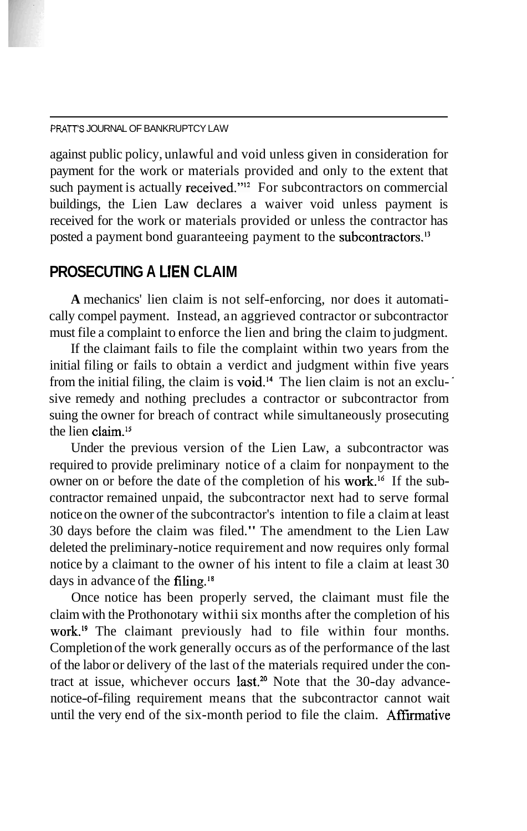#### PRATT'S JOURNAL OF BANKRUPTCY LAW

such payment is actually received."<sup>12</sup> For subcontractors on commercial posted a payment bond guaranteeing payment to the subcontractors.<sup>13</sup> against public policy, unlawful and void unless given in consideration for payment for the work or materials provided and only to the extent that buildings, the Lien Law declares a waiver void unless payment is received for the work or materials provided or unless the contractor has

### PROSECUTING A LIEN CLAIM

**A** mechanics' lien claim is not self-enforcing, nor does it automatically compel payment. Instead, an aggrieved contractor or subcontractor must file a complaint to enforce the lien and bring the claim to judgment.

from the initial filing, the claim is void.<sup>14</sup> The lien claim is not an excluthe lien claim.<sup>15</sup> If the claimant fails to file the complaint within two years from the initial filing or fails to obtain a verdict and judgment within five years sive remedy and nothing precludes a contractor or subcontractor from suing the owner for breach of contract while simultaneously prosecuting

owner on or before the date of the completion of his work.<sup>16</sup> If the subdays in advance of the filing.<sup>18</sup> Under the previous version of the Lien Law, a subcontractor was required to provide preliminary notice of a claim for nonpayment to the contractor remained unpaid, the subcontractor next had to serve formal notice on the owner of the subcontractor's intention to file a claim at least 30 days before the claim was filed." The amendment to the Lien Law deleted the preliminary-notice requirement and now requires only formal notice by a claimant to the owner of his intent to file a claim at least 30

work.<sup>19</sup> The claimant previously had to file within four months. tract at issue, whichever occurs last.<sup>20</sup> Note that the 30-day advanceuntil the very end of the six-month period to file the claim. Affirmative Once notice has been properly served, the claimant must file the claim with the Prothonotary withii six months after the completion of his Completion of the work generally occurs as of the performance of the last of the labor or delivery of the last of the materials required under the connotice-of-filing requirement means that the subcontractor cannot wait